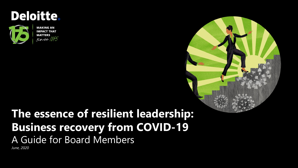

**MAKING AN IMPACT THAT MATTERS**  $since 1845$ 

## **The essence of resilient leadership: Business recovery from COVID-19** A Guide for Board Members

*June, 2020*

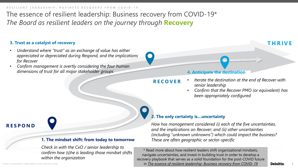The essence of resilient leadership: Business recovery from COVID-19\* *The Board as resilient leaders on the journey through* **Recovery**

### **3. Trust as a catalyst of recovery**

- *Understand where "trust" as an exchange of value has either appreciated or depreciated during Respond, and the implications for Recover*
- *Confirm management is overtly considering the four human dimensions of trust for all major stakeholder groups* **4. Anticipate the destination**

### **THRIVE**

- **RECOVER** • *Iterate the destination at the end of Recover with senior leadership*
	- *Confirm that the Recover PMO (or equivalent) has been appropriately configured*

# **RESPOND**

### **1. The mindset shift: from today to tomorrow**

*Check in with the CxO / senior leadership to confirm how (s)he is leading those mindset shifts within the organization*

### **2. The only certainty is…uncertainty**

*How has management considered (i) each of the five uncertainties, and the implications on Recover; and (ii) other uncertainties (including "unknown unknowns") which could impact the business? These are often geographic or sector-specific*

\* Read more about how resilient leaders shift organizational mindsets, navigate uncertainties, and invest in building trust in order to develop a recovery playbook that serves as a solid foundation for the post-COVID future in *[The essence of resilient leadership: Business recovery from COVID-19](https://www2.deloitte.com/us/en/insights/economy/covid-19/guide-to-organizational-recovery-for-senior-executives-heart-of-resilient-leadership.html?nc=1)*

© 2020. For information, contact Deloitte Touche Tohmatsu Limited.

**Deloitte.** 

1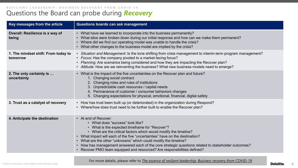### Questions the Board can probe during *Recovery* **RESILIENT LEADERSHIP: BUSINESS RECOVERY FROM COVID - 1 9**

| Key messages from the article                   | Questions boards can ask management                                                                                                                                                                                                                                                                                                                                                                                                                                                                                  |
|-------------------------------------------------|----------------------------------------------------------------------------------------------------------------------------------------------------------------------------------------------------------------------------------------------------------------------------------------------------------------------------------------------------------------------------------------------------------------------------------------------------------------------------------------------------------------------|
| Overall: Resilience is a way of<br>being        | • What have we learned to incorporate into the business permanently?<br>• What silos were broken down during our initial response and how can we make them permanent?<br>• Where did we find our operating model was unable to handle the crisis?<br>• What other changes to the business model are implied by the crisis?                                                                                                                                                                                           |
| 1. The mindset shift: From today to<br>tomorrow | • Situation and Management: Is the tone shifting from crisis management to interim-term program management?<br>• Focus: Has the company pivoted to a market-facing focus?<br>• Planning: Are scenarios being considered and how they are impacting the Recover plan?<br>• Attitude: How are we reinventing the business? What new business models need to emerge?                                                                                                                                                    |
| 2. The only certainty is<br>uncertainty         | What is the impact of the five uncertainties on the Recover plan and future?<br>$\bullet$<br>1. Changing social contract<br>2. Changing roles and rules of institutions<br>3. Unpredictable cash resources / capital needs<br>4. Permanence of customer / consumer behaviors changes<br>5. Changing expectations for physical, emotional, financial, digital safety                                                                                                                                                  |
| 3. Trust as a catalyst of recovery              | • How has trust been built up (or deteriorated) in the organization during Respond?<br>• Where/how does trust need to be further built to enable the Recover plan?                                                                                                                                                                                                                                                                                                                                                   |
| 4. Anticipate the destination                   | • At end of Recover:<br>• What does "success" look like?<br>• What is the expected timeframe for "Recover"?<br>• What are the critical factors which would modify the timeline?<br>• What impact will each of the five "uncertainties" have on the destination?<br>• What are the other "unknowns" which could modify the timeline?<br>How has management answered each of the core strategic questions related to stakeholder outcomes?<br>• Recover PMO team equipped and resourced? Are responsibilities defined? |

For more details, please refer to *[The essence of resilient leadership: Business recovery from COVID-19](https://www2.deloitte.com/us/en/insights/economy/covid-19/guide-to-organizational-recovery-for-senior-executives-heart-of-resilient-leadership.html?nc=1)*